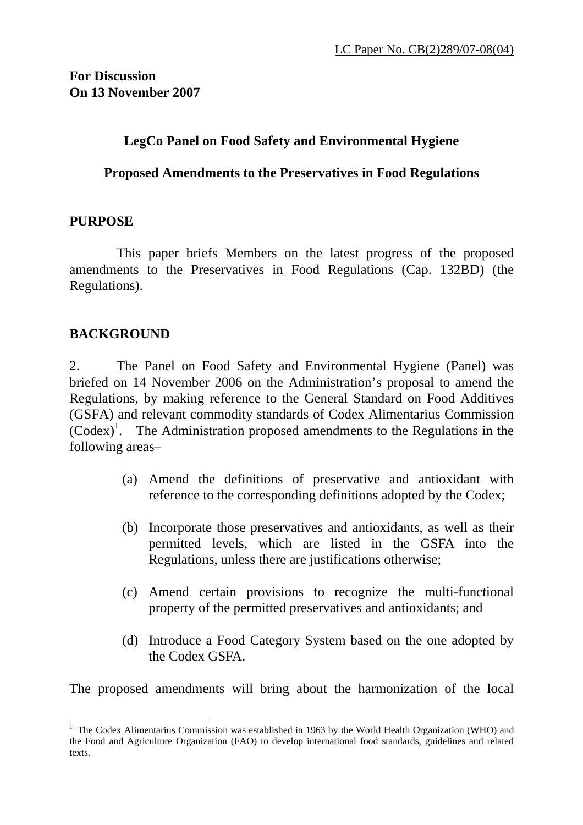### **LegCo Panel on Food Safety and Environmental Hygiene**

#### **Proposed Amendments to the Preservatives in Food Regulations**

#### **PURPOSE**

 This paper briefs Members on the latest progress of the proposed amendments to the Preservatives in Food Regulations (Cap. 132BD) (the Regulations).

#### **BACKGROUND**

2. The Panel on Food Safety and Environmental Hygiene (Panel) was briefed on 14 November 2006 on the Administration's proposal to amend the Regulations, by making reference to the General Standard on Food Additives (GSFA) and relevant commodity standards of Codex Alimentarius Commission  $(Codex)^1$ . The Administration proposed amendments to the Regulations in the following areas–

- (a) Amend the definitions of preservative and antioxidant with reference to the corresponding definitions adopted by the Codex;
- (b) Incorporate those preservatives and antioxidants, as well as their permitted levels, which are listed in the GSFA into the Regulations, unless there are justifications otherwise;
- (c) Amend certain provisions to recognize the multi-functional property of the permitted preservatives and antioxidants; and
- (d) Introduce a Food Category System based on the one adopted by the Codex GSFA.

The proposed amendments will bring about the harmonization of the local

 $\overline{a}$ <sup>1</sup> The Codex Alimentarius Commission was established in 1963 by the World Health Organization (WHO) and the Food and Agriculture Organization (FAO) to develop international food standards, guidelines and related texts.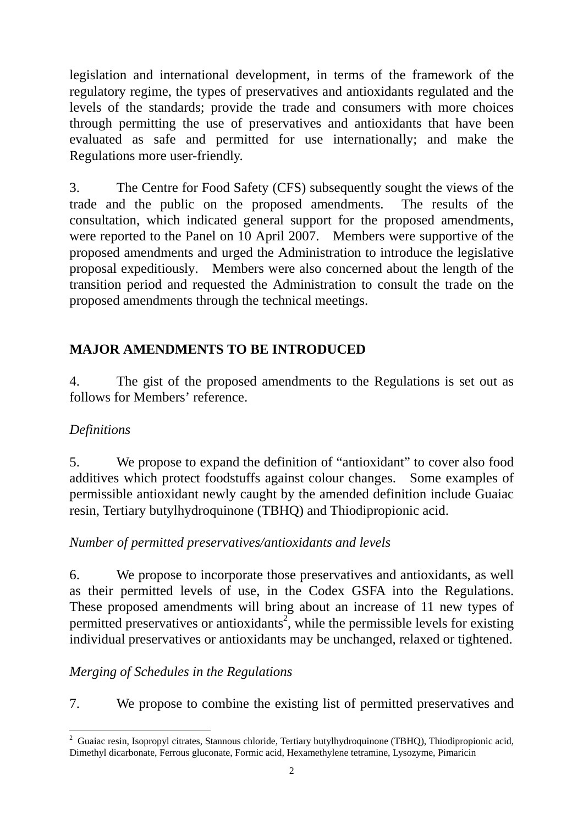legislation and international development, in terms of the framework of the regulatory regime, the types of preservatives and antioxidants regulated and the levels of the standards; provide the trade and consumers with more choices through permitting the use of preservatives and antioxidants that have been evaluated as safe and permitted for use internationally; and make the Regulations more user-friendly.

3. The Centre for Food Safety (CFS) subsequently sought the views of the trade and the public on the proposed amendments. The results of the consultation, which indicated general support for the proposed amendments, were reported to the Panel on 10 April 2007. Members were supportive of the proposed amendments and urged the Administration to introduce the legislative proposal expeditiously. Members were also concerned about the length of the transition period and requested the Administration to consult the trade on the proposed amendments through the technical meetings.

# **MAJOR AMENDMENTS TO BE INTRODUCED**

4. The gist of the proposed amendments to the Regulations is set out as follows for Members' reference.

# *Definitions*

 $\overline{a}$ 

5. We propose to expand the definition of "antioxidant" to cover also food additives which protect foodstuffs against colour changes. Some examples of permissible antioxidant newly caught by the amended definition include Guaiac resin, Tertiary butylhydroquinone (TBHQ) and Thiodipropionic acid.

# *Number of permitted preservatives/antioxidants and levels*

6. We propose to incorporate those preservatives and antioxidants, as well as their permitted levels of use, in the Codex GSFA into the Regulations. These proposed amendments will bring about an increase of 11 new types of permitted preservatives or antioxidants<sup>2</sup>, while the permissible levels for existing individual preservatives or antioxidants may be unchanged, relaxed or tightened.

# *Merging of Schedules in the Regulations*

7. We propose to combine the existing list of permitted preservatives and

<sup>&</sup>lt;sup>2</sup> Guaiac resin, Isopropyl citrates, Stannous chloride, Tertiary butylhydroquinone (TBHQ), Thiodipropionic acid, Dimethyl dicarbonate, Ferrous gluconate, Formic acid, Hexamethylene tetramine, Lysozyme, Pimaricin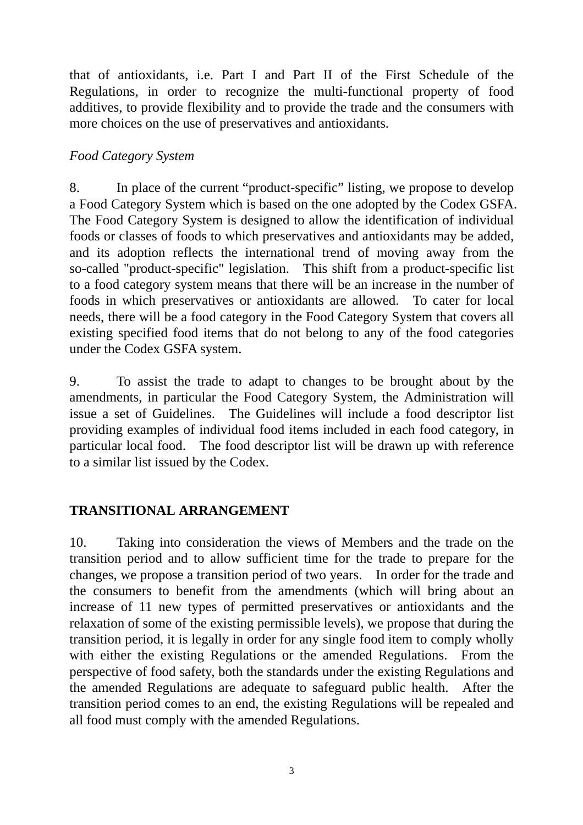that of antioxidants, i.e. Part I and Part II of the First Schedule of the Regulations, in order to recognize the multi-functional property of food additives, to provide flexibility and to provide the trade and the consumers with more choices on the use of preservatives and antioxidants.

### *Food Category System*

8. In place of the current "product-specific" listing, we propose to develop a Food Category System which is based on the one adopted by the Codex GSFA. The Food Category System is designed to allow the identification of individual foods or classes of foods to which preservatives and antioxidants may be added, and its adoption reflects the international trend of moving away from the so-called "product-specific" legislation. This shift from a product-specific list to a food category system means that there will be an increase in the number of foods in which preservatives or antioxidants are allowed. To cater for local needs, there will be a food category in the Food Category System that covers all existing specified food items that do not belong to any of the food categories under the Codex GSFA system.

9. To assist the trade to adapt to changes to be brought about by the amendments, in particular the Food Category System, the Administration will issue a set of Guidelines. The Guidelines will include a food descriptor list providing examples of individual food items included in each food category, in particular local food. The food descriptor list will be drawn up with reference to a similar list issued by the Codex.

# **TRANSITIONAL ARRANGEMENT**

10. Taking into consideration the views of Members and the trade on the transition period and to allow sufficient time for the trade to prepare for the changes, we propose a transition period of two years. In order for the trade and the consumers to benefit from the amendments (which will bring about an increase of 11 new types of permitted preservatives or antioxidants and the relaxation of some of the existing permissible levels), we propose that during the transition period, it is legally in order for any single food item to comply wholly with either the existing Regulations or the amended Regulations. From the perspective of food safety, both the standards under the existing Regulations and the amended Regulations are adequate to safeguard public health. After the transition period comes to an end, the existing Regulations will be repealed and all food must comply with the amended Regulations.